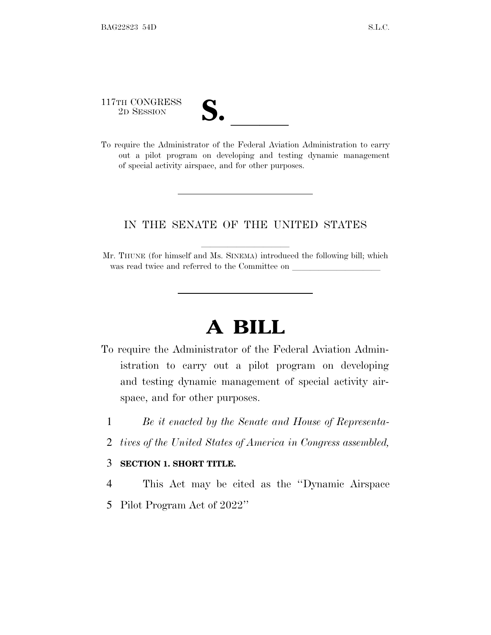117TH CONGRESS 117TH CONGRESS<br>
2D SESSION<br>
To require the Administrator of the Federal Aviation Administration to carry

out a pilot program on developing and testing dynamic management of special activity airspace, and for other purposes.

## IN THE SENATE OF THE UNITED STATES

Mr. THUNE (for himself and Ms. SINEMA) introduced the following bill; which was read twice and referred to the Committee on

## **A BILL**

- To require the Administrator of the Federal Aviation Administration to carry out a pilot program on developing and testing dynamic management of special activity airspace, and for other purposes.
	- 1 *Be it enacted by the Senate and House of Representa-*
	- 2 *tives of the United States of America in Congress assembled,*

## 3 **SECTION 1. SHORT TITLE.**

- 4 This Act may be cited as the ''Dynamic Airspace
- 5 Pilot Program Act of 2022''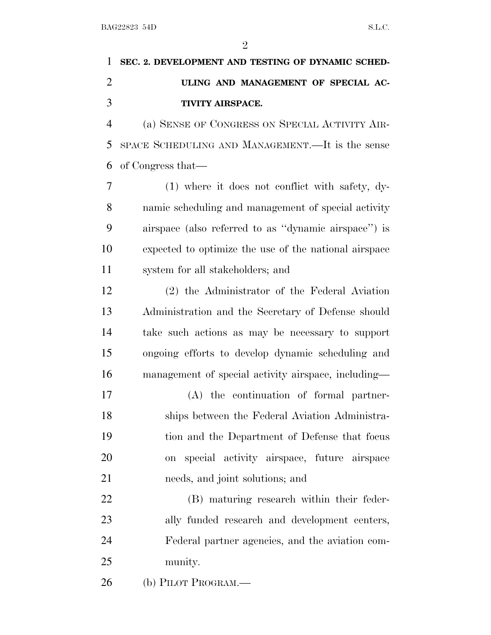$\mathfrak{D}$ 

## **SEC. 2. DEVELOPMENT AND TESTING OF DYNAMIC SCHED- ULING AND MANAGEMENT OF SPECIAL AC-TIVITY AIRSPACE.**

 (a) SENSE OF CONGRESS ON SPECIAL ACTIVITY AIR- SPACE SCHEDULING AND MANAGEMENT.—It is the sense of Congress that—

 (1) where it does not conflict with safety, dy- namic scheduling and management of special activity airspace (also referred to as ''dynamic airspace'') is expected to optimize the use of the national airspace system for all stakeholders; and

 (2) the Administrator of the Federal Aviation Administration and the Secretary of Defense should take such actions as may be necessary to support ongoing efforts to develop dynamic scheduling and management of special activity airspace, including—

 (A) the continuation of formal partner- ships between the Federal Aviation Administra- tion and the Department of Defense that focus on special activity airspace, future airspace needs, and joint solutions; and

 (B) maturing research within their feder- ally funded research and development centers, Federal partner agencies, and the aviation com-munity.

(b) PILOT PROGRAM.—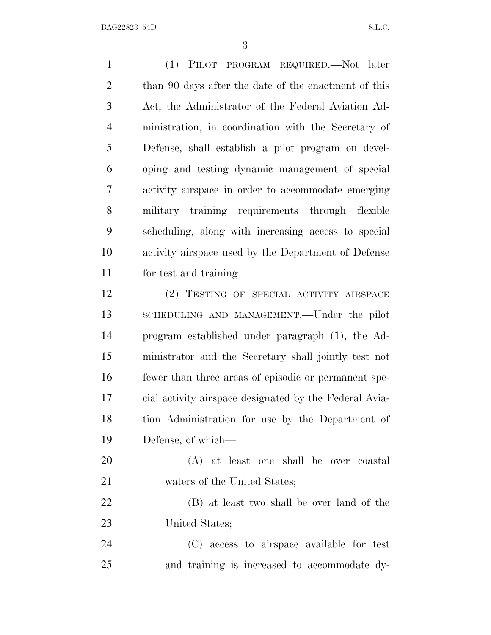BAG22823 54D S.L.C.

 (1) PILOT PROGRAM REQUIRED.—Not later than 90 days after the date of the enactment of this Act, the Administrator of the Federal Aviation Ad- ministration, in coordination with the Secretary of Defense, shall establish a pilot program on devel- oping and testing dynamic management of special activity airspace in order to accommodate emerging military training requirements through flexible scheduling, along with increasing access to special activity airspace used by the Department of Defense for test and training. (2) TESTING OF SPECIAL ACTIVITY AIRSPACE SCHEDULING AND MANAGEMENT.—Under the pilot program established under paragraph (1), the Ad-ministrator and the Secretary shall jointly test not

 fewer than three areas of episodic or permanent spe- cial activity airspace designated by the Federal Avia- tion Administration for use by the Department of Defense, of which—

 (A) at least one shall be over coastal waters of the United States;

 (B) at least two shall be over land of the United States;

 (C) access to airspace available for test and training is increased to accommodate dy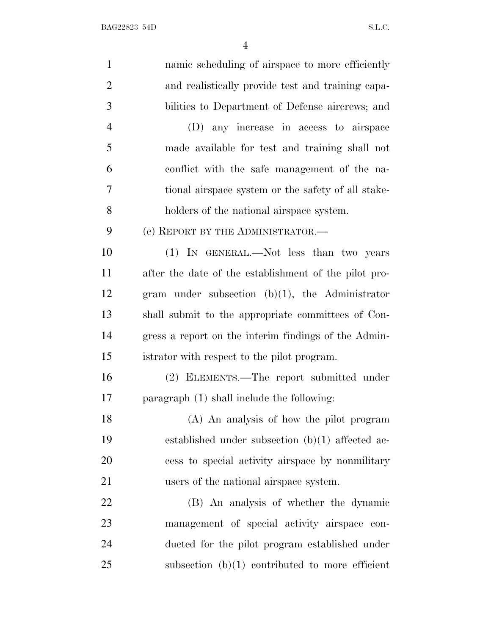BAG22823 54D S.L.C.

| $\mathbf{1}$   | namic scheduling of airspace to more efficiently      |
|----------------|-------------------------------------------------------|
| $\overline{2}$ | and realistically provide test and training capa-     |
| 3              | bilities to Department of Defense aircrews; and       |
| $\overline{4}$ | (D) any increase in access to airspace                |
| 5              | made available for test and training shall not        |
| 6              | conflict with the safe management of the na-          |
| 7              | tional airspace system or the safety of all stake-    |
| 8              | holders of the national airspace system.              |
| 9              | (c) REPORT BY THE ADMINISTRATOR.—                     |
| 10             | (1) IN GENERAL.—Not less than two years               |
| 11             | after the date of the establishment of the pilot pro- |
| 12             | gram under subsection $(b)(1)$ , the Administrator    |
| 13             | shall submit to the appropriate committees of Con-    |
| 14             | gress a report on the interim findings of the Admin-  |
| 15             | istrator with respect to the pilot program.           |
| 16             | (2) ELEMENTS.—The report submitted under              |
| 17             | paragraph (1) shall include the following:            |
| 18             | (A) An analysis of how the pilot program              |
| 19             | established under subsection $(b)(1)$ affected ac-    |
| 20             | cess to special activity airspace by nonmilitary      |
| 21             | users of the national airspace system.                |
| 22             | (B) An analysis of whether the dynamic                |
| 23             | management of special activity airspace con-          |
| 24             | ducted for the pilot program established under        |
| 25             | subsection $(b)(1)$ contributed to more efficient     |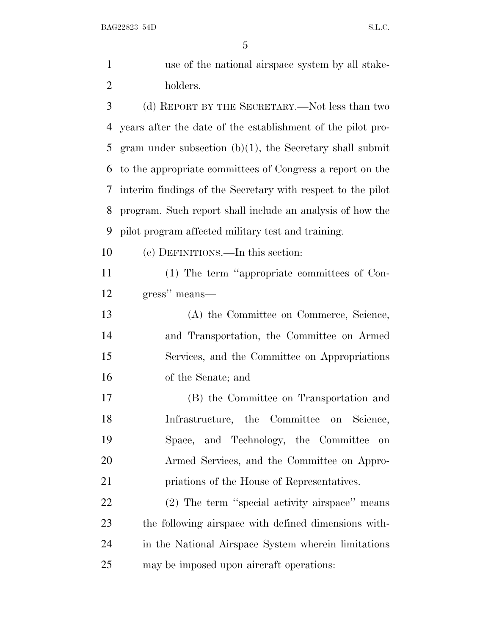BAG22823 54D S.L.C.

| $\mathbf{1}$   | use of the national airspace system by all stake-           |
|----------------|-------------------------------------------------------------|
| $\overline{2}$ | holders.                                                    |
| 3              | (d) REPORT BY THE SECRETARY.—Not less than two              |
| 4              | years after the date of the establishment of the pilot pro- |
| 5              | gram under subsection $(b)(1)$ , the Secretary shall submit |
| 6              | to the appropriate committees of Congress a report on the   |
| 7              | interim findings of the Secretary with respect to the pilot |
| 8              | program. Such report shall include an analysis of how the   |
| 9              | pilot program affected military test and training.          |
| 10             | (e) DEFINITIONS.—In this section:                           |
| 11             | (1) The term "appropriate committees of Con-                |
| 12             | gress" means—                                               |
| 13             | (A) the Committee on Commerce, Science,                     |
| 14             | and Transportation, the Committee on Armed                  |
| 15             | Services, and the Committee on Appropriations               |
| 16             | of the Senate; and                                          |
| 17             | (B) the Committee on Transportation and                     |
| 18             | Infrastructure, the Committee on Science,                   |
| 19             | Space, and Technology, the Committee<br>on                  |
| 20             | Armed Services, and the Committee on Appro-                 |
| 21             | priations of the House of Representatives.                  |
| 22             | (2) The term "special activity airspace" means              |
| 23             | the following airspace with defined dimensions with-        |
| 24             | in the National Airspace System wherein limitations         |
| 25             | may be imposed upon aircraft operations:                    |